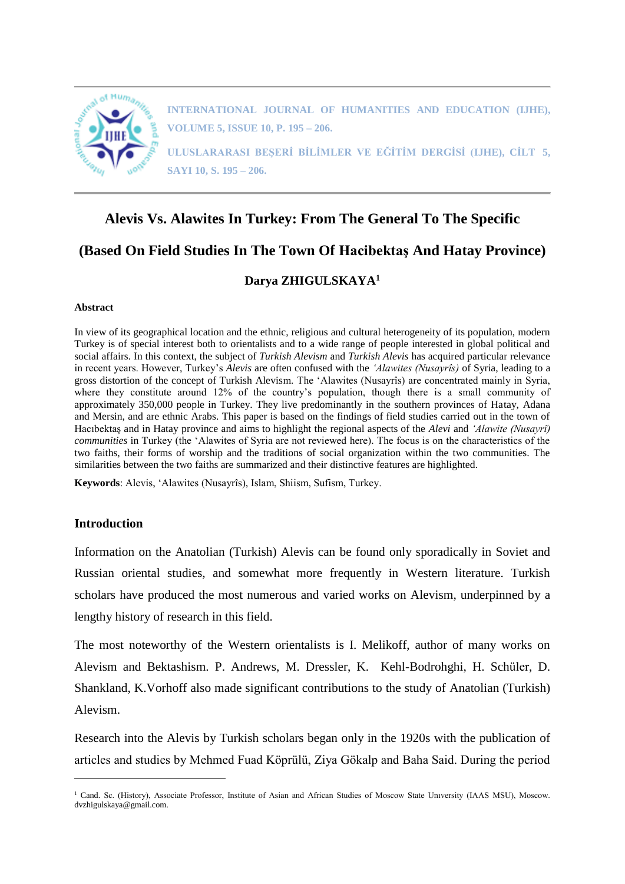

**INTERNATIONAL JOURNAL OF HUMANITIES AND EDUCATION (IJHE), VOLUME 5, ISSUE 10, P. 195 – 206.**

**ULUSLARARASI BEŞERİ BİLİMLER VE EĞİTİM DERGİSİ (IJHE), CİLT 5, SAYI 10, S. 195 – 206.**

# **Alevis Vs. Alawites In Turkey: From The General To The Specific**

# **(Based On Field Studies In The Town Of Hacibektaş And Hatay Province)**

## **Darya ZHIGULSKAYA<sup>1</sup>**

#### **Abstract**

In view of its geographical location and the ethnic, religious and cultural heterogeneity of its population, modern Turkey is of special interest both to orientalists and to a wide range of people interested in global political and social affairs. In this context, the subject of *Turkish Alevism* and *Turkish Alevis* has acquired particular relevance in recent years. However, Turkey's *Alevis* are often confused with the *'Alawites (Nusayrîs)* of Syria, leading to a gross distortion of the concept of Turkish Alevism. The 'Alawites (Nusayrîs) are concentrated mainly in Syria, where they constitute around 12% of the country's population, though there is a small community of approximately 350,000 people in Turkey. They live predominantly in the southern provinces of Hatay, Adana and Mersin, and are ethnic Arabs. This paper is based on the findings of field studies carried out in the town of Hacıbektaş and in Hatay province and aims to highlight the regional aspects of the *Alevi* and *'Alawite (Nusayrî) communities* in Turkey (the 'Alawites of Syria are not reviewed here). The focus is on the characteristics of the two faiths, their forms of worship and the traditions of social organization within the two communities. The similarities between the two faiths are summarized and their distinctive features are highlighted.

**Keywords**: Alevis, 'Alawites (Nusayrîs), Islam, Shiism, Sufism, Turkey.

#### **Introduction**

 $\overline{a}$ 

Information on the Anatolian (Turkish) Alevis can be found only sporadically in Soviet and Russian oriental studies, and somewhat more frequently in Western literature. Turkish scholars have produced the most numerous and varied works on Alevism, underpinned by a lengthy history of research in this field.

The most noteworthy of the Western orientalists is I. Melikoff, author of many works on Alevism and Bektashism. P. Andrews, M. Dressler, K. Kehl-Bodrohghi, H. Schüler, D. Shankland, K.Vorhoff also made significant contributions to the study of Anatolian (Turkish) Alevism.

Research into the Alevis by Turkish scholars began only in the 1920s with the publication of articles and studies by Mehmed Fuad Köprülü, Ziya Gökalp and Baha Said. During the period

<sup>&</sup>lt;sup>1</sup> Cand. Sc. (History), Associate Professor, Institute of Asian and African Studies of Moscow State University (IAAS MSU), Moscow. dvzhigulskaya@gmail.com.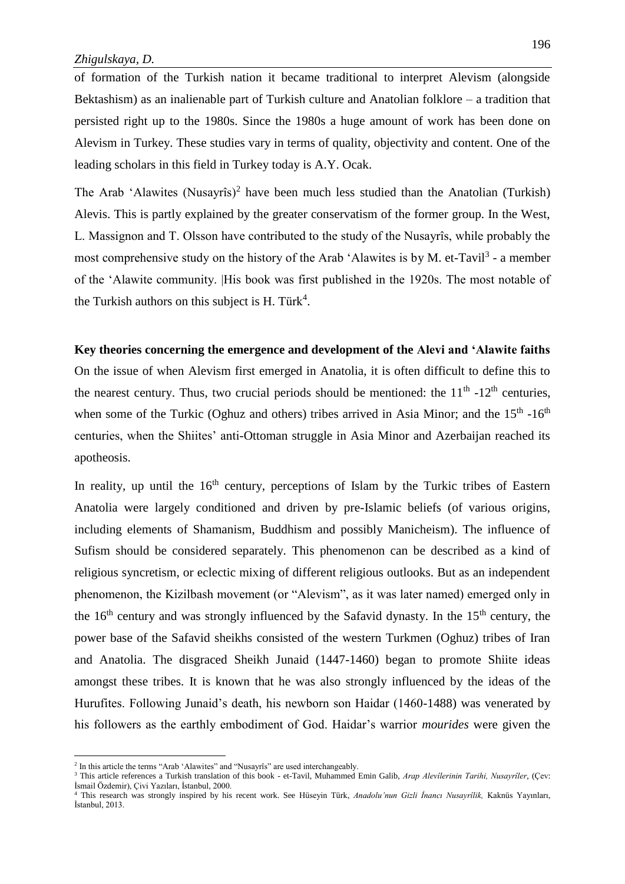of formation of the Turkish nation it became traditional to interpret Alevism (alongside Bektashism) as an inalienable part of Turkish culture and Anatolian folklore – a tradition that persisted right up to the 1980s. Since the 1980s a huge amount of work has been done on Alevism in Turkey. These studies vary in terms of quality, objectivity and content. One of the leading scholars in this field in Turkey today is A.Y. Ocak.

The Arab 'Alawites (Nusayrîs)<sup>2</sup> have been much less studied than the Anatolian (Turkish) Alevis. This is partly explained by the greater conservatism of the former group. In the West, L. Massignon and T. Olsson have contributed to the study of the Nusayrîs, while probably the most comprehensive study on the history of the Arab 'Alawites is by M. et-Tavil<sup>3</sup> - a member of the 'Alawite community. |His book was first published in the 1920s. The most notable of the Turkish authors on this subject is H. Türk<sup>4</sup>.

## **Key theories concerning the emergence and development of the Alevi and 'Alawite faiths**

On the issue of when Alevism first emerged in Anatolia, it is often difficult to define this to the nearest century. Thus, two crucial periods should be mentioned: the  $11<sup>th</sup>$  -12<sup>th</sup> centuries, when some of the Turkic (Oghuz and others) tribes arrived in Asia Minor; and the  $15<sup>th</sup>$  -16<sup>th</sup> centuries, when the Shiites' anti-Ottoman struggle in Asia Minor and Azerbaijan reached its apotheosis.

In reality, up until the  $16<sup>th</sup>$  century, perceptions of Islam by the Turkic tribes of Eastern Anatolia were largely conditioned and driven by pre-Islamic beliefs (of various origins, including elements of Shamanism, Buddhism and possibly Manicheism). The influence of Sufism should be considered separately. This phenomenon can be described as a kind of religious syncretism, or eclectic mixing of different religious outlooks. But as an independent phenomenon, the Kizilbash movement (or "Alevism", as it was later named) emerged only in the  $16<sup>th</sup>$  century and was strongly influenced by the Safavid dynasty. In the  $15<sup>th</sup>$  century, the power base of the Safavid sheikhs consisted of the western Turkmen (Oghuz) tribes of Iran and Anatolia. The disgraced Sheikh Junaid (1447-1460) began to promote Shiite ideas amongst these tribes. It is known that he was also strongly influenced by the ideas of the Hurufites. Following Junaid's death, his newborn son Haidar (1460-1488) was venerated by his followers as the earthly embodiment of God. Haidar's warrior *mourides* were given the

 $\overline{a}$ 

<sup>&</sup>lt;sup>2</sup> In this article the terms "Arab 'Alawites" and "Nusayrîs" are used interchangeably.

<sup>3</sup> This article references a Turkish translation of this book - et-Tavil, Muhammed Emin Galib, *Arap Alevîlerinin Tarihi, Nusayrîler*, (Çev: İsmail Özdemir), Çivi Yazıları, İstanbul, 2000.

<sup>4</sup> This research was strongly inspired by his recent work. See Hüseyin Türk, *Anadolu'nun Gizli İnancı Nusayrîlik,* Kaknüs Yayınları, İstanbul, 2013.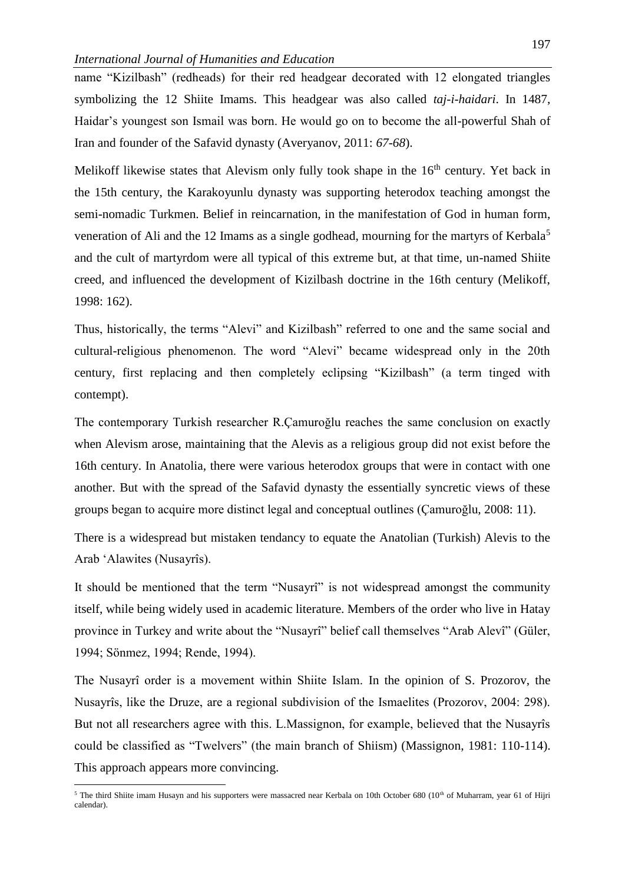name "Kizilbash" (redheads) for their red headgear decorated with 12 elongated triangles symbolizing the 12 Shiite Imams. This headgear was also called *taj-i-haidari*. In 1487, Haidar's youngest son Ismail was born. He would go on to become the all-powerful Shah of Iran and founder of the Safavid dynasty (Averyanov, 2011: *67-68*).

Melikoff likewise states that Alevism only fully took shape in the  $16<sup>th</sup>$  century. Yet back in the 15th century, the Karakoyunlu dynasty was supporting heterodox teaching amongst the semi-nomadic Turkmen. Belief in reincarnation, in the manifestation of God in human form, veneration of Ali and the 12 Imams as a single godhead, mourning for the martyrs of Kerbala<sup>5</sup> and the cult of martyrdom were all typical of this extreme but, at that time, un-named Shiite creed, and influenced the development of Kizilbash doctrine in the 16th century (Melikoff, 1998: 162).

Thus, historically, the terms "Alevi" and Kizilbash" referred to one and the same social and cultural-religious phenomenon. The word "Alevi" became widespread only in the 20th century, first replacing and then completely eclipsing "Kizilbash" (a term tinged with contempt).

The contemporary Turkish researcher R.Çamuroğlu reaches the same conclusion on exactly when Alevism arose, maintaining that the Alevis as a religious group did not exist before the 16th century. In Anatolia, there were various heterodox groups that were in contact with one another. But with the spread of the Safavid dynasty the essentially syncretic views of these groups began to acquire more distinct legal and conceptual outlines (Çamuroğlu, 2008: 11).

There is a widespread but mistaken tendancy to equate the Anatolian (Turkish) Alevis to the Arab 'Alawites (Nusayrîs).

It should be mentioned that the term "Nusayrî" is not widespread amongst the community itself, while being widely used in academic literature. Members of the order who live in Hatay province in Turkey and write about the "Nusayrî" belief call themselves "Arab Alevî" (Güler, 1994; Sönmez, 1994; Rende, 1994).

The Nusayrî order is a movement within Shiite Islam. In the opinion of S. Prozorov, the Nusayrîs, like the Druze, are a regional subdivision of the Ismaelites (Prozorov, 2004: 298). But not all researchers agree with this. L.Massignon, for example, believed that the Nusayrîs could be classified as "Twelvers" (the main branch of Shiism) (Massignon, 1981: 110-114). This approach appears more convincing.

 $\overline{a}$ 

 $5$  The third Shiite imam Husayn and his supporters were massacred near Kerbala on 10th October 680 (10<sup>th</sup> of Muharram, year 61 of Hijri calendar).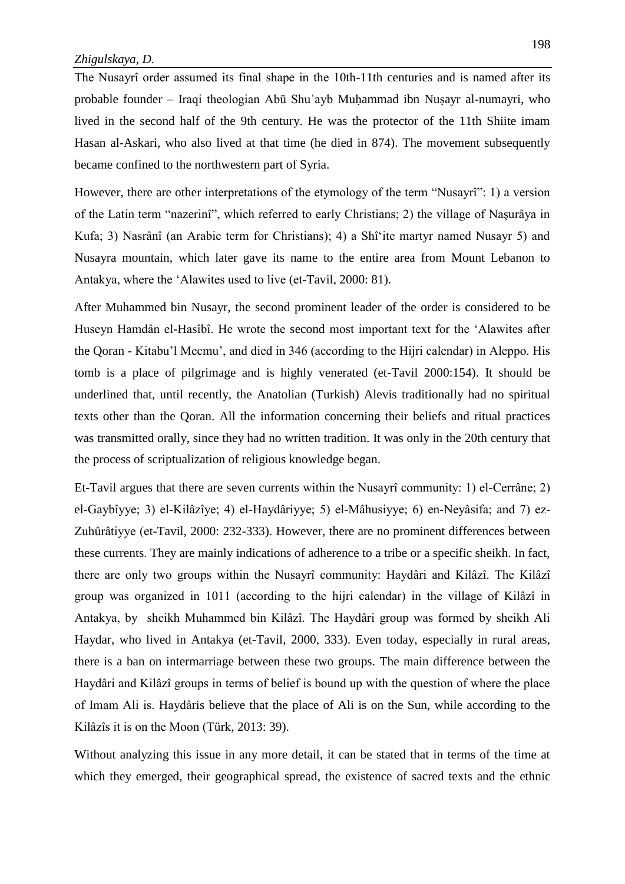The Nusayrî order assumed its final shape in the 10th-11th centuries and is named after its probable founder – Iraqi theologian Abū Shuʿayb Muḥammad ibn Nuṣayr al-numayri, who lived in the second half of the 9th century. He was the protector of the 11th Shiite imam Hasan al-Askari, who also lived at that time (he died in 874). The movement subsequently became confined to the northwestern part of Syria.

However, there are other interpretations of the etymology of the term "Nusayrî": 1) a version of the Latin term "nazerinî", which referred to early Christians; 2) the village of Naşurâya in Kufa; 3) Nasrânî (an Arabic term for Christians); 4) a Shîʻite martyr named Nusayr 5) and Nusayra mountain, which later gave its name to the entire area from Mount Lebanon to Antakya, where the ʻAlawites used to live (et-Tavil, 2000: 81).

After Muhammed bin Nusayr, the second prominent leader of the order is considered to be Huseyn Hamdân el-Hasîbî. He wrote the second most important text for the ʻAlawites after the Qoran - Kitabu'l Mecmu', and died in 346 (according to the Hijri calendar) in Aleppo. His tomb is a place of pilgrimage and is highly venerated (et-Tavil 2000:154). It should be underlined that, until recently, the Anatolian (Turkish) Alevis traditionally had no spiritual texts other than the Qoran. All the information concerning their beliefs and ritual practices was transmitted orally, since they had no written tradition. It was only in the 20th century that the process of scriptualization of religious knowledge began.

Et-Tavil argues that there are seven currents within the Nusayrî community: 1) el-Cerrâne; 2) el-Gaybîyye; 3) el-Kilâzîye; 4) el-Haydâriyye; 5) el-Mâhusiyye; 6) en-Neyâsifa; and 7) ez-Zuhûrâtiyye (et-Tavil, 2000: 232-333). However, there are no prominent differences between these currents. They are mainly indications of adherence to a tribe or a specific sheikh. In fact, there are only two groups within the Nusayrî community: Haydâri and Kilâzî. The Kilâzî group was organized in 1011 (according to the hijri calendar) in the village of Kilâzî in Antakya, by sheikh Muhammed bin Kilâzî. The Haydâri group was formed by sheikh Ali Haydar, who lived in Antakya (et-Tavil, 2000, 333). Even today, especially in rural areas, there is a ban on intermarriage between these two groups. The main difference between the Haydâri and Kilâzî groups in terms of belief is bound up with the question of where the place of Imam Ali is. Haydâris believe that the place of Ali is on the Sun, while according to the Kilâzîs it is on the Moon (Türk, 2013: 39).

Without analyzing this issue in any more detail, it can be stated that in terms of the time at which they emerged, their geographical spread, the existence of sacred texts and the ethnic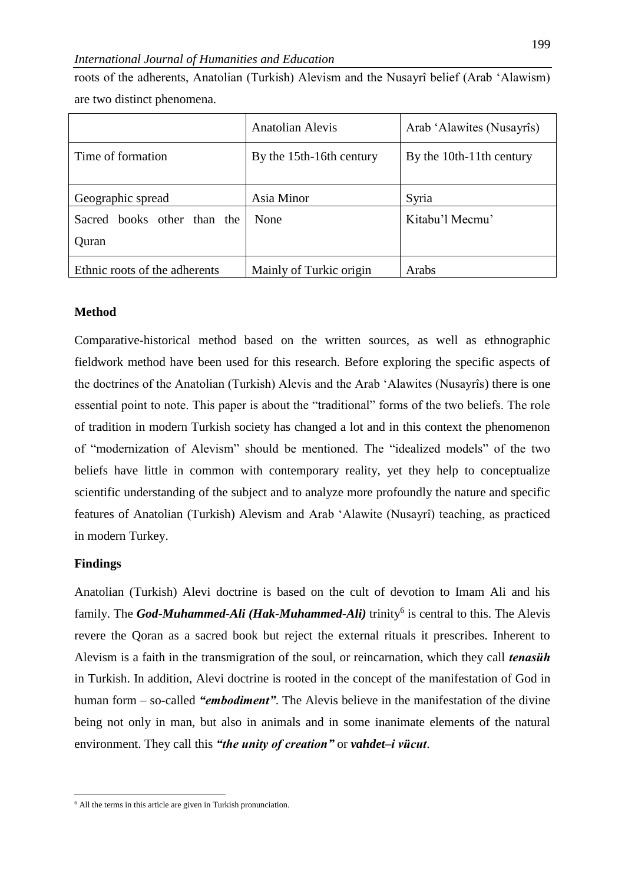## *International Journal of Humanities and Education*

roots of the adherents, Anatolian (Turkish) Alevism and the Nusayrî belief (Arab 'Alawism) are two distinct phenomena.

|                               | <b>Anatolian Alevis</b>  | Arab 'Alawites (Nusayrîs) |
|-------------------------------|--------------------------|---------------------------|
| Time of formation             | By the 15th-16th century | By the 10th-11th century  |
|                               |                          |                           |
| Geographic spread             | Asia Minor               | Syria                     |
| Sacred books other than the   | None                     | Kitabu'l Mecmu'           |
| Quran                         |                          |                           |
| Ethnic roots of the adherents | Mainly of Turkic origin  | Arabs                     |

#### **Method**

Comparative-historical method based on the written sources, as well as ethnographic fieldwork method have been used for this research. Before exploring the specific aspects of the doctrines of the Anatolian (Turkish) Alevis and the Arab 'Alawites (Nusayrîs) there is one essential point to note. This paper is about the "traditional" forms of the two beliefs. The role of tradition in modern Turkish society has changed a lot and in this context the phenomenon of "modernization of Alevism" should be mentioned. The "idealized models" of the two beliefs have little in common with contemporary reality, yet they help to conceptualize scientific understanding of the subject and to analyze more profoundly the nature and specific features of Anatolian (Turkish) Alevism and Arab 'Alawite (Nusayrî) teaching, as practiced in modern Turkey.

#### **Findings**

 $\overline{a}$ 

Anatolian (Turkish) Alevi doctrine is based on the cult of devotion to Imam Ali and his family. The *God-Muhammed-Ali (Hak-Muhammed-Ali)* trinity<sup>6</sup> is central to this. The Alevis revere the Qoran as a sacred book but reject the external rituals it prescribes. Inherent to Alevism is a faith in the transmigration of the soul, or reincarnation, which they call *tenasüh* in Turkish. In addition, Alevi doctrine is rooted in the concept of the manifestation of God in human form – so-called *"embodiment"*. The Alevis believe in the manifestation of the divine being not only in man, but also in animals and in some inanimate elements of the natural environment. They call this *"the unity of creation"* or *vahdet–i vücut*.

 $<sup>6</sup>$  All the terms in this article are given in Turkish pronunciation.</sup>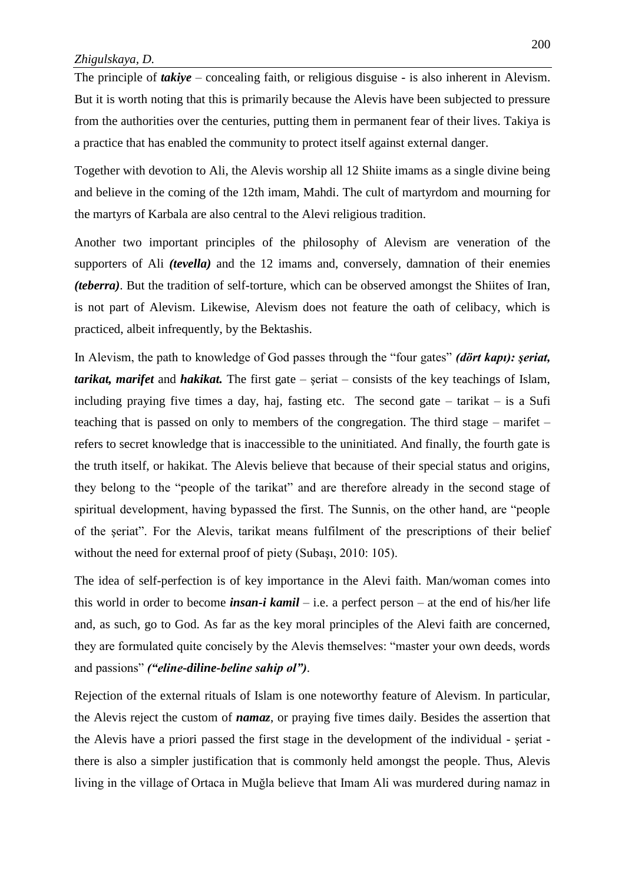The principle of *takiye* – concealing faith, or religious disguise - is also inherent in Alevism. But it is worth noting that this is primarily because the Alevis have been subjected to pressure from the authorities over the centuries, putting them in permanent fear of their lives. Takiya is a practice that has enabled the community to protect itself against external danger.

Together with devotion to Ali, the Alevis worship all 12 Shiite imams as a single divine being and believe in the coming of the 12th imam, Mahdi. The cult of martyrdom and mourning for the martyrs of Karbala are also central to the Alevi religious tradition.

Another two important principles of the philosophy of Alevism are veneration of the supporters of Ali *(tevella)* and the 12 imams and, conversely, damnation of their enemies *(teberra)*. But the tradition of self-torture, which can be observed amongst the Shiites of Iran, is not part of Alevism. Likewise, Alevism does not feature the oath of celibacy, which is practiced, albeit infrequently, by the Bektashis.

In Alevism, the path to knowledge of God passes through the "four gates" *(dört kapı): şeriat, tarikat, marifet* and *hakikat.* The first gate – şeriat – consists of the key teachings of Islam, including praying five times a day, haj, fasting etc. The second gate – tarikat – is a Sufi teaching that is passed on only to members of the congregation. The third stage – marifet – refers to secret knowledge that is inaccessible to the uninitiated. And finally, the fourth gate is the truth itself, or hakikat. The Alevis believe that because of their special status and origins, they belong to the "people of the tarikat" and are therefore already in the second stage of spiritual development, having bypassed the first. The Sunnis, on the other hand, are "people of the şeriat". For the Alevis, tarikat means fulfilment of the prescriptions of their belief without the need for external proof of piety (Subaşı, 2010: 105).

The idea of self-perfection is of key importance in the Alevi faith. Man/woman comes into this world in order to become *insan-i kamil* – i.e. a perfect person – at the end of his/her life and, as such, go to God. As far as the key moral principles of the Alevi faith are concerned, they are formulated quite concisely by the Alevis themselves: "master your own deeds, words and passions" *("eline-diline-beline sahip ol")*.

Rejection of the external rituals of Islam is one noteworthy feature of Alevism. In particular, the Alevis reject the custom of *namaz*, or praying five times daily. Besides the assertion that the Alevis have a priori passed the first stage in the development of the individual - şeriat there is also a simpler justification that is commonly held amongst the people. Thus, Alevis living in the village of Ortaca in Muğla believe that Imam Ali was murdered during namaz in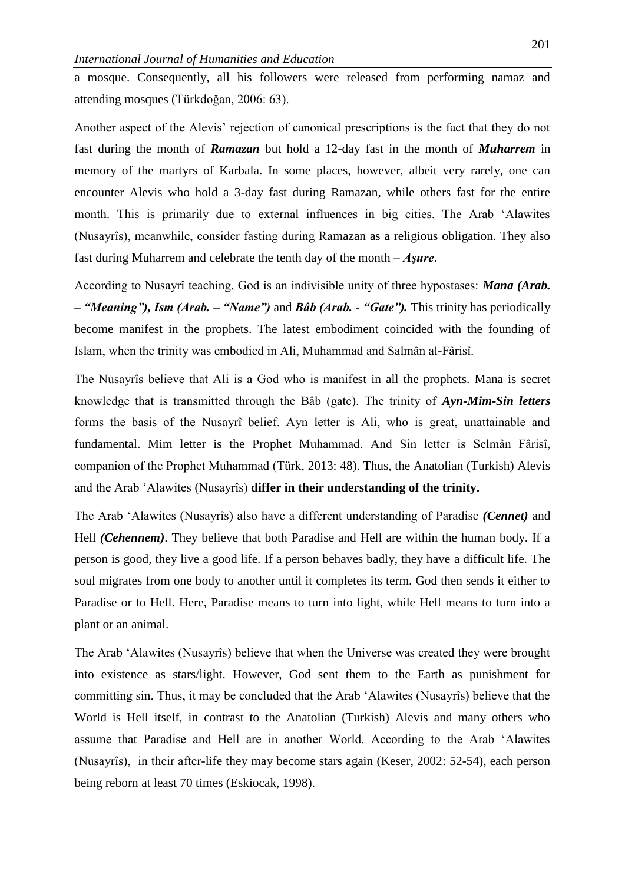a mosque. Consequently, all his followers were released from performing namaz and attending mosques (Türkdoğan, 2006: 63).

Another aspect of the Alevis' rejection of canonical prescriptions is the fact that they do not fast during the month of *Ramazan* but hold a 12-day fast in the month of *Muharrem* in memory of the martyrs of Karbala. In some places, however, albeit very rarely, one can encounter Alevis who hold a 3-day fast during Ramazan, while others fast for the entire month. This is primarily due to external influences in big cities. The Arab 'Alawites (Nusayrîs), meanwhile, consider fasting during Ramazan as a religious obligation. They also fast during Muharrem and celebrate the tenth day of the month – *Aşure*.

According to Nusayrî teaching, God is an indivisible unity of three hypostases: *Mana (Arab. – "Meaning"), Ism (Arab. – "Name")* and *Bâb (Arab. - "Gate").* This trinity has periodically become manifest in the prophets. The latest embodiment coincided with the founding of Islam, when the trinity was embodied in Ali, Muhammad and Salmân al-Fârisî.

The Nusayrîs believe that Ali is a God who is manifest in all the prophets. Mana is secret knowledge that is transmitted through the Bâb (gate). The trinity of *Ayn-Mim-Sin letters* forms the basis of the Nusayrî belief. Ayn letter is Ali, who is great, unattainable and fundamental. Mim letter is the Prophet Muhammad. And Sin letter is Selmân Fârisî, companion of the Prophet Muhammad (Türk, 2013: 48). Thus, the Anatolian (Turkish) Alevis and the Arab 'Alawites (Nusayrîs) **differ in their understanding of the trinity.**

The Arab ʻAlawites (Nusayrîs) also have a different understanding of Paradise *(Cennet)* and Hell *(Cehennem)*. They believe that both Paradise and Hell are within the human body. If a person is good, they live a good life. If a person behaves badly, they have a difficult life. The soul migrates from one body to another until it completes its term. God then sends it either to Paradise or to Hell. Here, Paradise means to turn into light, while Hell means to turn into a plant or an animal.

The Arab ʻAlawites (Nusayrîs) believe that when the Universe was created they were brought into existence as stars/light. However, God sent them to the Earth as punishment for committing sin. Thus, it may be concluded that the Arab ʻAlawites (Nusayrîs) believe that the World is Hell itself, in contrast to the Anatolian (Turkish) Alevis and many others who assume that Paradise and Hell are in another World. According to the Arab ʻAlawites (Nusayrîs), in their after-life they may become stars again (Keser, 2002: 52-54), each person being reborn at least 70 times (Eskiocak, 1998).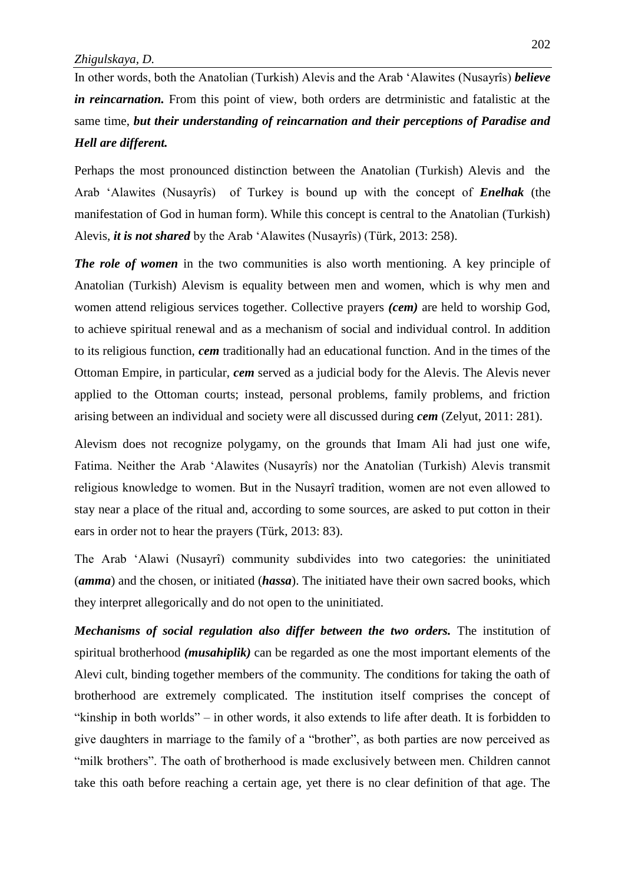In other words, both the Anatolian (Turkish) Alevis and the Arab ʻAlawites (Nusayrîs) *believe in reincarnation.* From this point of view, both orders are detrministic and fatalistic at the same time, *but their understanding of reincarnation and their perceptions of Paradise and Hell are different.*

Perhaps the most pronounced distinction between the Anatolian (Turkish) Alevis and the Arab ʻAlawites (Nusayrîs) of Turkey is bound up with the concept of *Enelhak* (the manifestation of God in human form). While this concept is central to the Anatolian (Turkish) Alevis, *it is not shared* by the Arab ʻAlawites (Nusayrîs) (Türk, 2013: 258).

*The role of women* in the two communities is also worth mentioning. A key principle of Anatolian (Turkish) Alevism is equality between men and women, which is why men and women attend religious services together. Collective prayers *(cem)* are held to worship God, to achieve spiritual renewal and as a mechanism of social and individual control. In addition to its religious function, *cem* traditionally had an educational function. And in the times of the Ottoman Empire, in particular, *cem* served as a judicial body for the Alevis. The Alevis never applied to the Ottoman courts; instead, personal problems, family problems, and friction arising between an individual and society were all discussed during *cem* (Zelyut, 2011: 281).

Alevism does not recognize polygamy, on the grounds that Imam Ali had just one wife, Fatima. Neither the Arab 'Alawites (Nusayrîs) nor the Anatolian (Turkish) Alevis transmit religious knowledge to women. But in the Nusayrî tradition, women are not even allowed to stay near a place of the ritual and, according to some sources, are asked to put cotton in their ears in order not to hear the prayers (Türk, 2013: 83).

The Arab 'Alawi (Nusayrî) community subdivides into two categories: the uninitiated (*amma*) and the chosen, or initiated (*hassa*). The initiated have their own sacred books, which they interpret allegorically and do not open to the uninitiated.

*Mechanisms of social regulation also differ between the two orders.* The institution of spiritual brotherhood *(musahiplik)* can be regarded as one the most important elements of the Alevi cult, binding together members of the community. The conditions for taking the oath of brotherhood are extremely complicated. The institution itself comprises the concept of "kinship in both worlds" – in other words, it also extends to life after death. It is forbidden to give daughters in marriage to the family of a "brother", as both parties are now perceived as "milk brothers". The oath of brotherhood is made exclusively between men. Children cannot take this oath before reaching a certain age, yet there is no clear definition of that age. The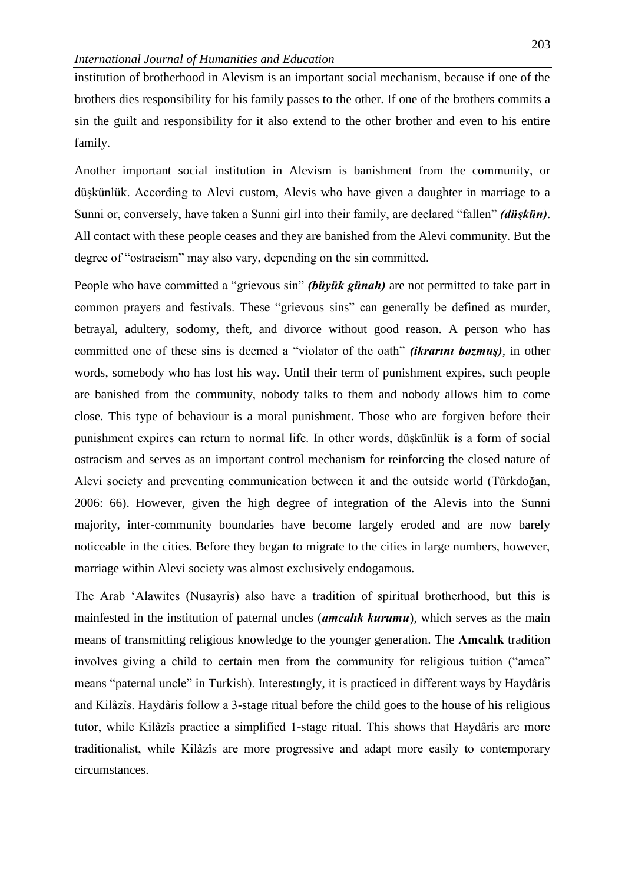institution of brotherhood in Alevism is an important social mechanism, because if one of the brothers dies responsibility for his family passes to the other. If one of the brothers commits a sin the guilt and responsibility for it also extend to the other brother and even to his entire family.

Another important social institution in Alevism is banishment from the community, or düşkünlük. According to Alevi custom, Alevis who have given a daughter in marriage to a Sunni or, conversely, have taken a Sunni girl into their family, are declared "fallen" *(düşkün)*. All contact with these people ceases and they are banished from the Alevi community. But the degree of "ostracism" may also vary, depending on the sin committed.

People who have committed a "grievous sin" *(büyük günah)* are not permitted to take part in common prayers and festivals. These "grievous sins" can generally be defined as murder, betrayal, adultery, sodomy, theft, and divorce without good reason. A person who has committed one of these sins is deemed a "violator of the oath" *(ikrarını bozmuş)*, in other words, somebody who has lost his way. Until their term of punishment expires, such people are banished from the community, nobody talks to them and nobody allows him to come close. This type of behaviour is a moral punishment. Those who are forgiven before their punishment expires can return to normal life. In other words, düşkünlük is a form of social ostracism and serves as an important control mechanism for reinforcing the closed nature of Alevi society and preventing communication between it and the outside world (Türkdoğan, 2006: 66). However, given the high degree of integration of the Alevis into the Sunni majority, inter-community boundaries have become largely eroded and are now barely noticeable in the cities. Before they began to migrate to the cities in large numbers, however, marriage within Alevi society was almost exclusively endogamous.

The Arab 'Alawites (Nusayrîs) also have a tradition of spiritual brotherhood, but this is mainfested in the institution of paternal uncles (*amcalık kurumu*), which serves as the main means of transmitting religious knowledge to the younger generation. The **Amcalık** tradition involves giving a child to certain men from the community for religious tuition ("amca" means "paternal uncle" in Turkish). Interestıngly, it is practiced in different ways by Haydâris and Kilâzîs. Haydâris follow a 3-stage ritual before the child goes to the house of his religious tutor, while Kilâzîs practice a simplified 1-stage ritual. This shows that Haydâris are more traditionalist, while Kilâzîs are more progressive and adapt more easily to contemporary circumstances.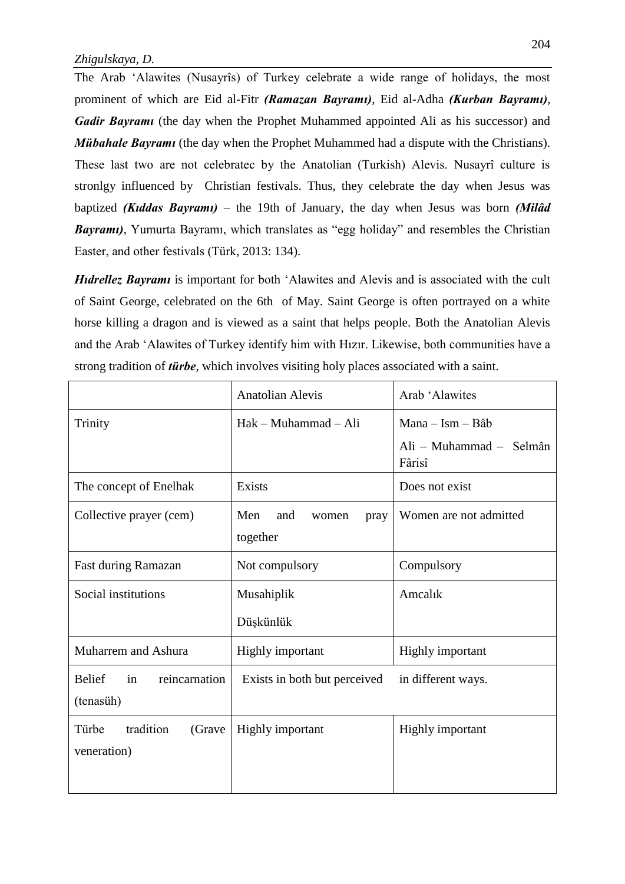The Arab ʻAlawites (Nusayrîs) of Turkey celebrate a wide range of holidays, the most prominent of which are Eid al-Fitr *(Ramazan Bayramı)*, Eid al-Adha *(Kurban Bayramı)*, *Gadir Bayrami* (the day when the Prophet Muhammed appointed Ali as his successor) and *Mübahale Bayrami* (the day when the Prophet Muhammed had a dispute with the Christians). These last two are not celebratec by the Anatolian (Turkish) Alevis. Nusayrî culture is stronlgy influenced by Christian festivals. Thus, they celebrate the day when Jesus was baptized *(Kıddas Bayramı)* – the 19th of January, the day when Jesus was born *(Milâd Bayramı)*, Yumurta Bayramı, which translates as "egg holiday" and resembles the Christian Easter, and other festivals (Türk, 2013: 134).

*Hıdrellez Bayramı* is important for both 'Alawites and Alevis and is associated with the cult of Saint George, celebrated on the 6th of May. Saint George is often portrayed on a white horse killing a dragon and is viewed as a saint that helps people. Both the Anatolian Alevis and the Arab ʻAlawites of Turkey identify him with Hızır. Likewise, both communities have a strong tradition of *türbe*, which involves visiting holy places associated with a saint.

|                                                   | <b>Anatolian Alevis</b>                 | Arab 'Alawites                    |
|---------------------------------------------------|-----------------------------------------|-----------------------------------|
| Trinity                                           | $Hak - Muhammad - Ali$                  | $Mana - Ism - B\hat{a}b$          |
|                                                   |                                         | Ali – Muhammad – Selmân<br>Fârisî |
| The concept of Enelhak                            | Exists                                  | Does not exist                    |
| Collective prayer (cem)                           | Men<br>and<br>women<br>pray<br>together | Women are not admitted            |
| Fast during Ramazan                               | Not compulsory                          | Compulsory                        |
| Social institutions                               | Musahiplik                              | Amcalık                           |
|                                                   | Düşkünlük                               |                                   |
| Muharrem and Ashura                               | Highly important                        | Highly important                  |
| <b>Belief</b><br>reincarnation<br>in<br>(tenasüh) | Exists in both but perceived            | in different ways.                |
| tradition<br>(Grave<br>Türbe<br>veneration)       | <b>Highly</b> important                 | Highly important                  |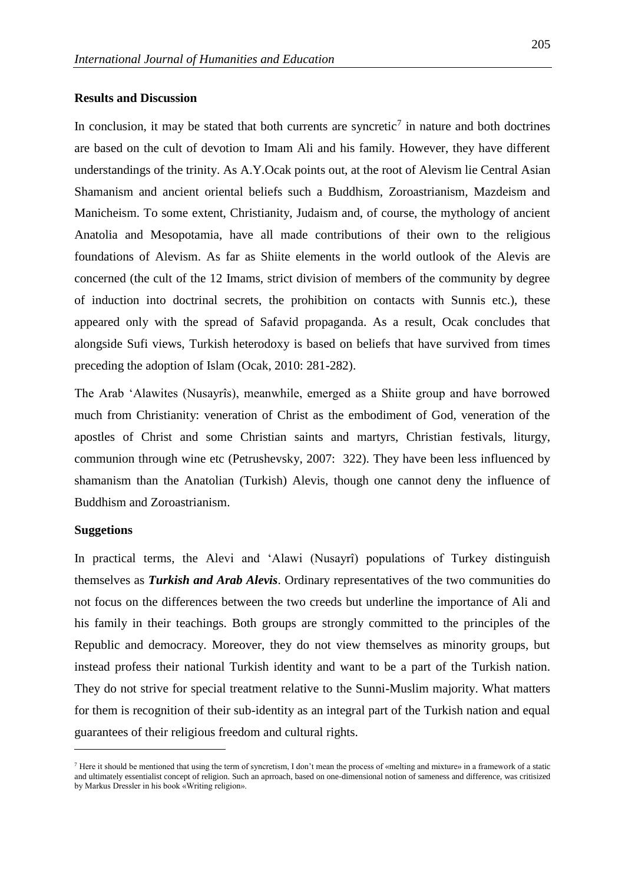## **Results and Discussion**

In conclusion, it may be stated that both currents are syncretic<sup>7</sup> in nature and both doctrines are based on the cult of devotion to Imam Ali and his family. However, they have different understandings of the trinity. As A.Y.Ocak points out, at the root of Alevism lie Central Asian Shamanism and ancient oriental beliefs such a Buddhism, Zoroastrianism, Mazdeism and Manicheism. To some extent, Christianity, Judaism and, of course, the mythology of ancient Anatolia and Mesopotamia, have all made contributions of their own to the religious foundations of Alevism. As far as Shiite elements in the world outlook of the Alevis are concerned (the cult of the 12 Imams, strict division of members of the community by degree of induction into doctrinal secrets, the prohibition on contacts with Sunnis etc.), these appeared only with the spread of Safavid propaganda. As a result, Ocak concludes that alongside Sufi views, Turkish heterodoxy is based on beliefs that have survived from times preceding the adoption of Islam (Ocak, 2010: 281-282).

The Arab 'Alawites (Nusayrîs), meanwhile, emerged as a Shiite group and have borrowed much from Christianity: veneration of Christ as the embodiment of God, veneration of the apostles of Christ and some Christian saints and martyrs, Christian festivals, liturgy, communion through wine etc (Petrushevsky, 2007: 322). They have been less influenced by shamanism than the Anatolian (Turkish) Alevis, though one cannot deny the influence of Buddhism and Zoroastrianism.

#### **Suggetions**

 $\overline{a}$ 

In practical terms, the Alevi and 'Alawi (Nusayrî) populations of Turkey distinguish themselves as *Turkish and Arab Alevis*. Ordinary representatives of the two communities do not focus on the differences between the two creeds but underline the importance of Ali and his family in their teachings. Both groups are strongly committed to the principles of the Republic and democracy. Moreover, they do not view themselves as minority groups, but instead profess their national Turkish identity and want to be a part of the Turkish nation. They do not strive for special treatment relative to the Sunni-Muslim majority. What matters for them is recognition of their sub-identity as an integral part of the Turkish nation and equal guarantees of their religious freedom and cultural rights.

<sup>&</sup>lt;sup>7</sup> Here it should be mentioned that using the term of syncretism. I don't mean the process of «melting and mixture» in a framework of a static and ultimately essentialist concept of religion. Such an aprroach, based on one-dimensional notion of sameness and difference, was critisized by Markus Dressler in his book «Writing religion».